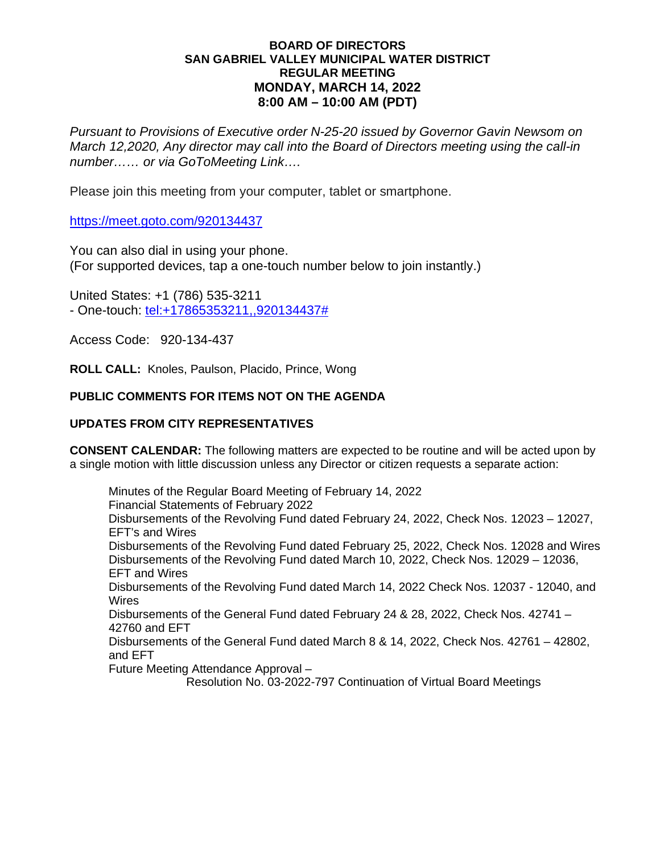#### **BOARD OF DIRECTORS SAN GABRIEL VALLEY MUNICIPAL WATER DISTRICT REGULAR MEETING MONDAY, MARCH 14, 2022 8:00 AM – 10:00 AM (PDT)**

*Pursuant to Provisions of Executive order N-25-20 issued by Governor Gavin Newsom on March 12,2020, Any director may call into the Board of Directors meeting using the call-in number…… or via GoToMeeting Link….*

Please join this meeting from your computer, tablet or smartphone.

https://meet.goto.com/920134437

You can also dial in using your phone. (For supported devices, tap a one-touch number below to join instantly.)

United States: +1 (786) 535-3211 - One-touch: [tel:+17865353211,,920134437#](tel:+,,)

Access Code: 920-134-437

**ROLL CALL:** Knoles, Paulson, Placido, Prince, Wong

# **PUBLIC COMMENTS FOR ITEMS NOT ON THE AGENDA**

## **UPDATES FROM CITY REPRESENTATIVES**

**CONSENT CALENDAR:** The following matters are expected to be routine and will be acted upon by a single motion with little discussion unless any Director or citizen requests a separate action:

Minutes of the Regular Board Meeting of February 14, 2022 Financial Statements of February 2022 Disbursements of the Revolving Fund dated February 24, 2022, Check Nos. 12023 – 12027, EFT's and Wires Disbursements of the Revolving Fund dated February 25, 2022, Check Nos. 12028 and Wires Disbursements of the Revolving Fund dated March 10, 2022, Check Nos. 12029 – 12036, EFT and Wires Disbursements of the Revolving Fund dated March 14, 2022 Check Nos. 12037 - 12040, and Wires Disbursements of the General Fund dated February 24 & 28, 2022, Check Nos. 42741 – 42760 and EFT Disbursements of the General Fund dated March 8 & 14, 2022, Check Nos. 42761 – 42802, and EFT

Future Meeting Attendance Approval –

Resolution No. 03-2022-797 Continuation of Virtual Board Meetings